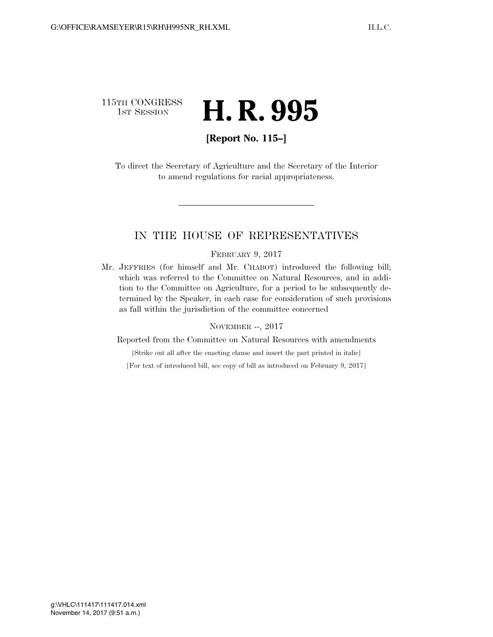## 115TH CONGRESS **1st Session H. R. 995**

## **[Report No. 115–]**

To direct the Secretary of Agriculture and the Secretary of the Interior to amend regulations for racial appropriateness.

## IN THE HOUSE OF REPRESENTATIVES

#### FEBRUARY 9, 2017

Mr. JEFFRIES (for himself and Mr. CHABOT) introduced the following bill; which was referred to the Committee on Natural Resources, and in addition to the Committee on Agriculture, for a period to be subsequently determined by the Speaker, in each case for consideration of such provisions as fall within the jurisdiction of the committee concerned

#### NOVEMBER --, 2017

Reported from the Committee on Natural Resources with amendments

[Strike out all after the enacting clause and insert the part printed in italic]

[For text of introduced bill, see copy of bill as introduced on February 9, 2017]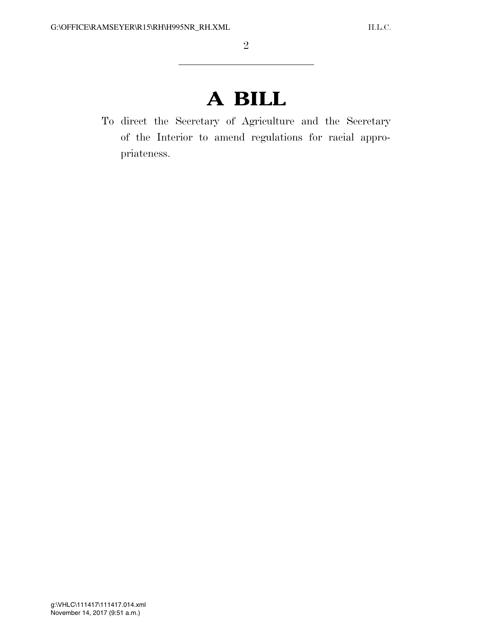# **A BILL**

To direct the Secretary of Agriculture and the Secretary of the Interior to amend regulations for racial appropriateness.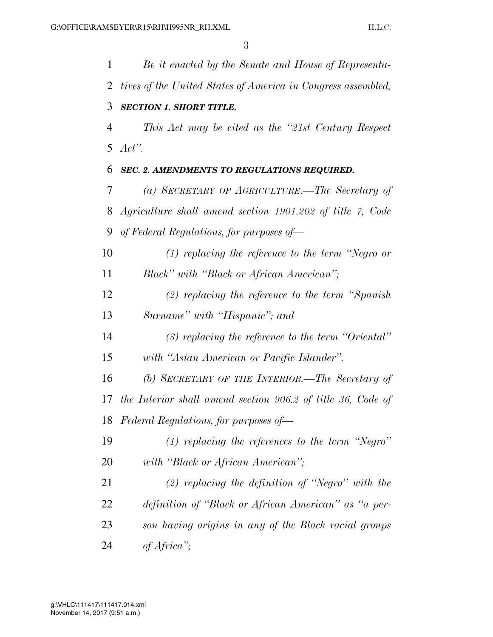*Be it enacted by the Senate and House of Representa- tives of the United States of America in Congress assembled, SECTION 1. SHORT TITLE. This Act may be cited as the ''21st Century Respect Act''. SEC. 2. AMENDMENTS TO REGULATIONS REQUIRED. (a) SECRETARY OF AGRICULTURE.—The Secretary of Agriculture shall amend section 1901.202 of title 7, Code of Federal Regulations, for purposes of— (1) replacing the reference to the term ''Negro or Black'' with ''Black or African American''; (2) replacing the reference to the term ''Spanish Surname'' with ''Hispanic''; and (3) replacing the reference to the term ''Oriental'' with ''Asian American or Pacific Islander''. (b) SECRETARY OF THE INTERIOR.—The Secretary of the Interior shall amend section 906.2 of title 36, Code of Federal Regulations, for purposes of— (1) replacing the references to the term ''Negro'' with ''Black or African American''; (2) replacing the definition of ''Negro'' with the definition of ''Black or African American'' as ''a per- son having origins in any of the Black racial groups of Africa'';*